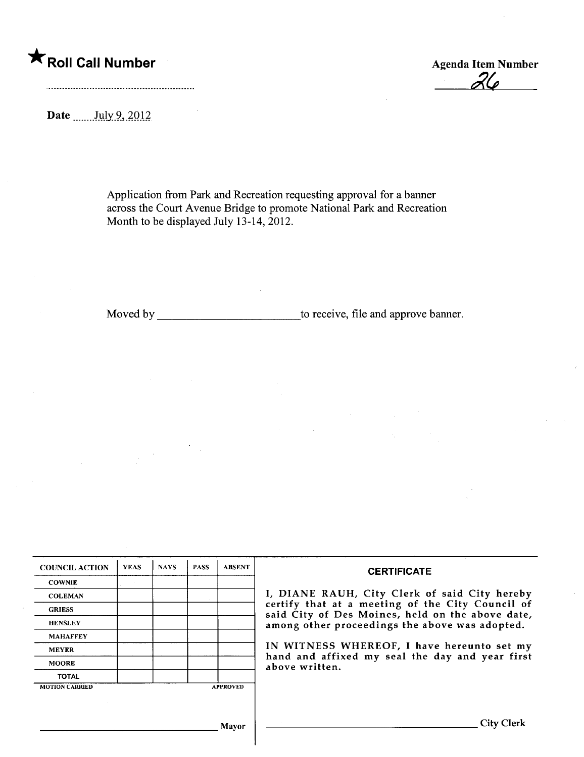## \*Roll Call Number Agenda Item Number

 $Z\mathcal{L}$ 

Date  $\frac{\text{July } 9, 2012}{\text{$ 

Application from Park and Recreation requesting approval for a banner across the Court Avenue Bridge to promote National Park and Recreation Month to be displayed July  $13-14$ , 2012.

Moved by to receive, file and approve banner.

| <b>COUNCIL ACTION</b> | <b>YEAS</b> | <b>NAYS</b> | <b>PASS</b> | <b>ABSENT</b>   | <b>CERTIFICATE</b>                                                                                                                                                                                                                                                                                                         |  |  |  |
|-----------------------|-------------|-------------|-------------|-----------------|----------------------------------------------------------------------------------------------------------------------------------------------------------------------------------------------------------------------------------------------------------------------------------------------------------------------------|--|--|--|
| <b>COWNIE</b>         |             |             |             |                 |                                                                                                                                                                                                                                                                                                                            |  |  |  |
| <b>COLEMAN</b>        |             |             |             |                 | I, DIANE RAUH, City Clerk of said City hereby<br>certify that at a meeting of the City Council of<br>said City of Des Moines, held on the above date,<br>among other proceedings the above was adopted.<br>IN WITNESS WHEREOF, I have hereunto set my<br>hand and affixed my seal the day and year first<br>above written. |  |  |  |
| <b>GRIESS</b>         |             |             |             |                 |                                                                                                                                                                                                                                                                                                                            |  |  |  |
| <b>HENSLEY</b>        |             |             |             |                 |                                                                                                                                                                                                                                                                                                                            |  |  |  |
| <b>MAHAFFEY</b>       |             |             |             |                 |                                                                                                                                                                                                                                                                                                                            |  |  |  |
| <b>MEYER</b>          |             |             |             |                 |                                                                                                                                                                                                                                                                                                                            |  |  |  |
| <b>MOORE</b>          |             |             |             |                 |                                                                                                                                                                                                                                                                                                                            |  |  |  |
| <b>TOTAL</b>          |             |             |             |                 |                                                                                                                                                                                                                                                                                                                            |  |  |  |
| <b>MOTION CARRIED</b> |             |             |             | <b>APPROVED</b> |                                                                                                                                                                                                                                                                                                                            |  |  |  |
|                       |             |             |             |                 |                                                                                                                                                                                                                                                                                                                            |  |  |  |
|                       |             |             |             |                 |                                                                                                                                                                                                                                                                                                                            |  |  |  |
|                       |             |             |             |                 | City Clerk                                                                                                                                                                                                                                                                                                                 |  |  |  |
| Mavor                 |             |             |             |                 |                                                                                                                                                                                                                                                                                                                            |  |  |  |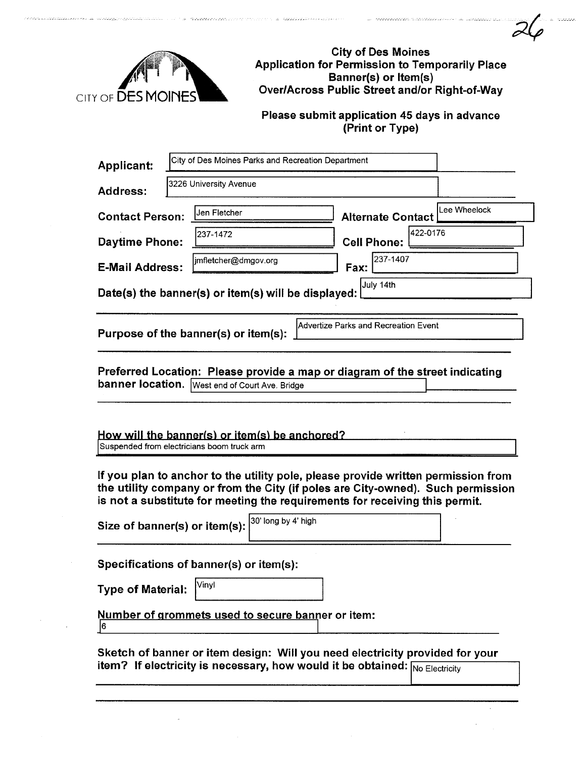

magazine survivos

a *processio* 

City of Des Moines Application for Permission to Temporarily Place Banner(s) or Item(s) Over/Across Public Street and/or Right-of-Way

 $\gamma'$ 

Please submit application 45 days in advance (Print or Type)

| Applicant:                                                                                                                                                                                                                                          | City of Des Moines Parks and Recreation Department   |                                |              |  |  |  |  |  |
|-----------------------------------------------------------------------------------------------------------------------------------------------------------------------------------------------------------------------------------------------------|------------------------------------------------------|--------------------------------|--------------|--|--|--|--|--|
| <b>Address:</b>                                                                                                                                                                                                                                     | 3226 University Avenue                               |                                |              |  |  |  |  |  |
| <b>Contact Person:</b>                                                                                                                                                                                                                              | Jen Fletcher                                         | <b>Alternate Contact</b>       | Lee Wheelock |  |  |  |  |  |
| Daytime Phone:                                                                                                                                                                                                                                      | 237-1472                                             | 422-0176<br><b>Cell Phone:</b> |              |  |  |  |  |  |
| <b>E-Mail Address:</b>                                                                                                                                                                                                                              | jmfletcher@dmgov.org                                 | 237-1407<br>Fax:               |              |  |  |  |  |  |
| July 14th<br>Date(s) the banner(s) or item(s) will be displayed:                                                                                                                                                                                    |                                                      |                                |              |  |  |  |  |  |
| <b>Advertize Parks and Recreation Event</b><br>Purpose of the banner(s) or item(s):                                                                                                                                                                 |                                                      |                                |              |  |  |  |  |  |
| Preferred Location: Please provide a map or diagram of the street indicating<br>banner location.   West end of Court Ave. Bridge                                                                                                                    |                                                      |                                |              |  |  |  |  |  |
| How will the banner(s) or item(s) be anchored?<br>Suspended from electricians boom truck arm                                                                                                                                                        |                                                      |                                |              |  |  |  |  |  |
| If you plan to anchor to the utility pole, please provide written permission from<br>the utility company or from the City (if poles are City-owned). Such permission<br>is not a substitute for meeting the requirements for receiving this permit. |                                                      |                                |              |  |  |  |  |  |
|                                                                                                                                                                                                                                                     | 30' long by 4' high<br>Size of banner(s) or item(s): |                                |              |  |  |  |  |  |
| Specifications of banner(s) or item(s):                                                                                                                                                                                                             |                                                      |                                |              |  |  |  |  |  |
| <b>Type of Material:</b>                                                                                                                                                                                                                            | Vinyl                                                |                                |              |  |  |  |  |  |
| Number of grommets used to secure banner or item:<br>6                                                                                                                                                                                              |                                                      |                                |              |  |  |  |  |  |
| Sketch of banner or item design: Will you need electricity provided for your<br>item? If electricity is necessary, how would it be obtained: Mo Electricity                                                                                         |                                                      |                                |              |  |  |  |  |  |